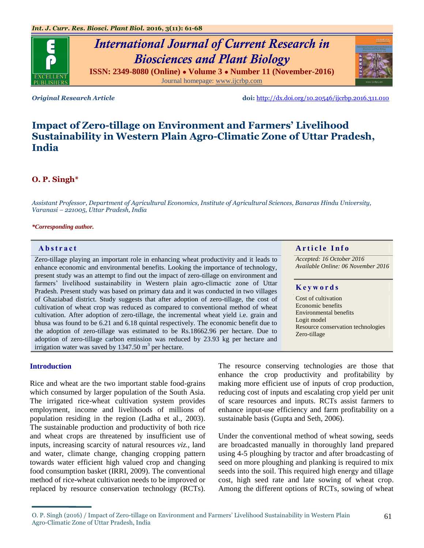

Journal homepage: [www.ijcrbp.com](http://www.ijcrbp.com/)



*Original Research Article* **doi:** <http://dx.doi.org/10.20546/ijcrbp.2016.311.010>

# **Impact of Zero-tillage on Environment and Farmers' Livelihood Sustainability in Western Plain Agro-Climatic Zone of Uttar Pradesh, India**

# **O. P. Singh\***

*Assistant Professor, Department of Agricultural Economics, Institute of Agricultural Sciences, Banaras Hindu University, Varanasi – 221005, Uttar Pradesh, India*

#### *\*Corresponding author.*

Zero-tillage playing an important role in enhancing wheat productivity and it leads to enhance economic and environmental benefits. Looking the importance of technology, present study was an attempt to find out the impact of zero-tillage on environment and farmers' livelihood sustainability in Western plain agro-climactic zone of Uttar Pradesh. Present study was based on primary data and it was conducted in two villages of Ghaziabad district. Study suggests that after adoption of zero-tillage, the cost of cultivation of wheat crop was reduced as compared to conventional method of wheat cultivation. After adoption of zero-tillage, the incremental wheat yield i.e. grain and bhusa was found to be 6.21 and 6.18 quintal respectively. The economic benefit due to the adoption of zero-tillage was estimated to be Rs.18662.96 per hectare. Due to adoption of zero-tillage carbon emission was reduced by 23.93 kg per hectare and irrigation water was saved by  $1347.50 \text{ m}^3$  per hectare.

# **Introduction**

Rice and wheat are the two important stable food-grains which consumed by larger population of the South Asia. The irrigated rice-wheat cultivation system provides employment, income and livelihoods of millions of population residing in the region (Ladha et al., 2003). The sustainable production and productivity of both rice and wheat crops are threatened by insufficient use of inputs, increasing scarcity of natural resources *viz.,* land and water, climate change, changing cropping pattern towards water efficient high valued crop and changing food consumption basket (IRRI, 2009). The conventional method of rice-wheat cultivation needs to be improved or replaced by resource conservation technology (RCTs).

**Abstract And a result of the Info Article Info** 

*Accepted: 16 October 2016 Available Online: 06 November 2016*

#### **K e y w o r d s**

Cost of cultivation Economic benefits Environmental benefits Logit model Resource conservation technologies Zero-tillage

The resource conserving technologies are those that enhance the crop productivity and profitability by making more efficient use of inputs of crop production, reducing cost of inputs and escalating crop yield per unit of scare resources and inputs. RCTs assist farmers to enhance input-use efficiency and farm profitability on a sustainable basis (Gupta and Seth, 2006).

Under the conventional method of wheat sowing, seeds are broadcasted manually in thoroughly land prepared using 4-5 ploughing by tractor and after broadcasting of seed on more ploughing and planking is required to mix seeds into the soil. This required high energy and tillage cost, high seed rate and late sowing of wheat crop. Among the different options of RCTs, sowing of wheat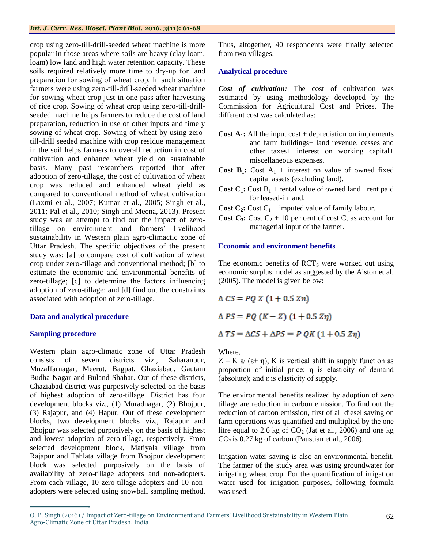#### *Int. J. Curr. Res. Biosci. Plant Biol.* **2016, 3(11): 61-68**

crop using zero-till-drill-seeded wheat machine is more popular in those areas where soils are heavy (clay loam, loam) low land and high water retention capacity. These soils required relatively more time to dry-up for land preparation for sowing of wheat crop. In such situation farmers were using zero-till-drill-seeded wheat machine for sowing wheat crop just in one pass after harvesting of rice crop. Sowing of wheat crop using zero-till-drillseeded machine helps farmers to reduce the cost of land preparation, reduction in use of other inputs and timely sowing of wheat crop. Sowing of wheat by using zerotill-drill seeded machine with crop residue management in the soil helps farmers to overall reduction in cost of cultivation and enhance wheat yield on sustainable basis. Many past researchers reported that after adoption of zero-tillage, the cost of cultivation of wheat crop was reduced and enhanced wheat yield as compared to conventional method of wheat cultivation (Laxmi et al., 2007; Kumar et al., 2005; Singh et al., 2011; Pal et al., 2010; Singh and Meena, 2013). Present study was an attempt to find out the impact of zerotillage on environment and farmers' livelihood sustainability in Western plain agro-climactic zone of Uttar Pradesh. The specific objectives of the present study was: [a] to compare cost of cultivation of wheat crop under zero-tillage and conventional method; [b] to estimate the economic and environmental benefits of zero-tillage; [c] to determine the factors influencing adoption of zero-tillage; and [d] find out the constraints associated with adoption of zero-tillage.

# **Data and analytical procedure**

# **Sampling procedure**

Western plain agro-climatic zone of Uttar Pradesh consists of seven districts viz., Saharanpur, Muzaffarnagar, Meerut, Bagpat, Ghaziabad, Gautam Budha Nagar and Buland Shahar. Out of these districts, Ghaziabad district was purposively selected on the basis of highest adoption of zero-tillage. District has four development blocks viz., (1) Muradnagar, (2) Bhojpur, (3) Rajapur, and (4) Hapur. Out of these development blocks, two development blocks viz., Rajapur and Bhojpur was selected purposively on the basis of highest and lowest adoption of zero-tillage, respectively. From selected development block, Matiyala village from Rajapur and Tahlata village from Bhojpur development block was selected purposively on the basis of availability of zero-tillage adopters and non-adopters. From each village, 10 zero-tillage adopters and 10 nonadopters were selected using snowball sampling method.

Thus, altogether, 40 respondents were finally selected from two villages.

# **Analytical procedure**

*Cost of cultivation:* The cost of cultivation was estimated by using methodology developed by the Commission for Agricultural Cost and Prices. The different cost was calculated as:

- **Cost A<sub>1</sub>**: All the input cost + depreciation on implements and farm buildings+ land revenue, cesses and other taxes+ interest on working capital+ miscellaneous expenses.
- **Cost B<sub>1</sub>:** Cost  $A_1$  + interest on value of owned fixed capital assets (excluding land).
- **Cost C<sub>1</sub>:** Cost  $B_1$  + rental value of owned land+ rent paid for leased-in land.
- **Cost C<sub>2</sub>**: Cost C<sub>1</sub> + imputed value of family labour.
- **Cost C<sub>3</sub>:** Cost C<sub>2</sub> + 10 per cent of cost C<sub>2</sub> as account for managerial input of the farmer.

# **Economic and environment benefits**

The economic benefits of  $\text{RCT}_\text{S}$  were worked out using economic surplus model as suggested by the Alston et al. (2005). The model is given below:

$$
\Delta CS = PQ Z (1 + 0.5 Zn)
$$
  
 
$$
\Delta PS = PQ (K - Z) (1 + 0.5 Zn)
$$

 $\Delta TS = \Delta CS + \Delta PS = P QK (1 + 0.5 Z \eta)$ 

Where,

 $Z = K \varepsilon / (\varepsilon + \eta)$ ; K is vertical shift in supply function as proportion of initial price; η is elasticity of demand (absolute); and  $\varepsilon$  is elasticity of supply.

The environmental benefits realized by adoption of zero tillage are reduction in carbon emission. To find out the reduction of carbon emission, first of all diesel saving on farm operations was quantified and multiplied by the one litre equal to 2.6 kg of  $CO<sub>2</sub>$  (Jat et al., 2006) and one kg  $CO<sub>2</sub>$  is 0.27 kg of carbon (Paustian et al., 2006).

Irrigation water saving is also an environmental benefit. The farmer of the study area was using groundwater for irrigating wheat crop. For the quantification of irrigation water used for irrigation purposes, following formula was used:

O. P. Singh (2016) / Impact of Zero-tillage on Environment and Farmers' Livelihood Sustainability in Western Plain Agro-Climatic Zone of Uttar Pradesh, India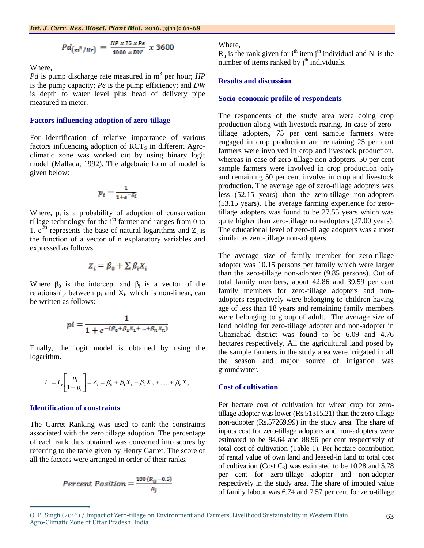$$
Pd_{\left(m^{8}/Hr\right)} = \frac{HP x 75 x P e}{1000 x D W} x 3600
$$

Where,

Pd is pump discharge rate measured in m<sup>3</sup> per hour; *HP* is the pump capacity; *Pe* is the pump efficiency; and *DW* is depth to water level plus head of delivery pipe measured in meter.

#### **Factors influencing adoption of zero-tillage**

For identification of relative importance of various factors influencing adoption of  $\text{RCT}_S$  in different Agroclimatic zone was worked out by using binary logit model (Mallada, 1992). The algebraic form of model is given below:

$$
p_i = \frac{1}{1 + e^{-Z_i}}
$$

Where,  $p_i$  is a probability of adoption of conservation tillage technology for the  $i<sup>th</sup>$  farmer and ranges from 0 to 1.  $e^{Zi}$  represents the base of natural logarithms and  $Z_i$  is the function of a vector of n explanatory variables and expressed as follows.

$$
Z_i = \beta_0 + \sum \beta_i X_i
$$

Where  $\beta_0$  is the intercept and  $\beta_i$  is a vector of the relationship between  $p_i$  and  $X_i$ , which is non-linear, can be written as follows:

$$
pi = \frac{1}{1 + e^{-(\beta_0 + \beta_1 X_1 + \dots + \beta_n X_n)}}
$$

Finally, the logit model is obtained by using the logarithm.

$$
L_i = L_n \left[ \frac{p_i}{1 - p_i} \right] = Z_i = \beta_0 + \beta_1 X_1 + \beta_2 X_2 + \dots + \beta_n X_n
$$

#### **Identification of constraints**

The Garret Ranking was used to rank the constraints associated with the zero tillage adoption. The percentage of each rank thus obtained was converted into scores by referring to the table given by Henry Garret. The score of all the factors were arranged in order of their ranks.

$$
Percent Position = \frac{100 (R_{ij} - 0.5)}{N_j}
$$

#### Where,

 $R_{ij}$  is the rank given for i<sup>th</sup> item j<sup>th</sup> individual and  $N_j$  is the number of items ranked by  $j<sup>th</sup>$  individuals.

### **Results and discussion**

#### **Socio-economic profile of respondents**

The respondents of the study area were doing crop production along with livestock rearing. In case of zerotillage adopters, 75 per cent sample farmers were engaged in crop production and remaining 25 per cent farmers were involved in crop and livestock production, whereas in case of zero-tillage non-adopters, 50 per cent sample farmers were involved in crop production only and remaining 50 per cent involve in crop and livestock production. The average age of zero-tillage adopters was less (52.15 years) than the zero-tillage non-adopters (53.15 years). The average farming experience for zerotillage adopters was found to be 27.55 years which was quite higher than zero-tillage non-adopters (27.00 years). The educational level of zero-tillage adopters was almost similar as zero-tillage non-adopters.

The average size of family member for zero-tillage adopter was 10.15 persons per family which were larger than the zero-tillage non-adopter (9.85 persons). Out of total family members, about 42.86 and 39.59 per cent family members for zero-tillage adopters and nonadopters respectively were belonging to children having age of less than 18 years and remaining family members were belonging to group of adult. The average size of land holding for zero-tillage adopter and non-adopter in Ghaziabad district was found to be 6.09 and 4.76 hectares respectively. All the agricultural land posed by the sample farmers in the study area were irrigated in all the season and major source of irrigation was groundwater.

# **Cost of cultivation**

Per hectare cost of cultivation for wheat crop for zerotillage adopter was lower (Rs.51315.21) than the zero-tillage non-adopter (Rs.57269.99) in the study area. The share of inputs cost for zero-tillage adopters and non-adopters were estimated to be 84.64 and 88.96 per cent respectively of total cost of cultivation (Table 1). Per hectare contribution of rental value of own land and leased-in land to total cost of cultivation (Cost  $C_3$ ) was estimated to be 10.28 and 5.78 per cent for zero-tillage adopter and non-adopter respectively in the study area. The share of imputed value of family labour was 6.74 and 7.57 per cent for zero-tillage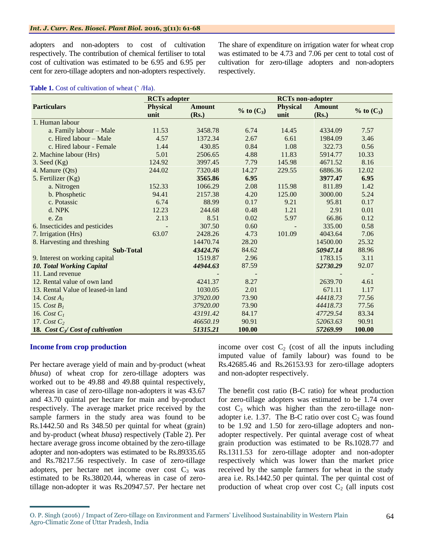#### *Int. J. Curr. Res. Biosci. Plant Biol.* **2016, 3(11): 61-68**

adopters and non-adopters to cost of cultivation respectively. The contribution of chemical fertiliser to total cost of cultivation was estimated to be 6.95 and 6.95 per cent for zero-tillage adopters and non-adopters respectively. The share of expenditure on irrigation water for wheat crop was estimated to be 4.73 and 7.06 per cent to total cost of cultivation for zero-tillage adopters and non-adopters respectively.

### Table 1. Cost of cultivation of wheat ( $\hat{H}$ a).

|                                    | <b>RCTs</b> adopter |               |                 | <b>RCTs</b> non-adopter |               |                |
|------------------------------------|---------------------|---------------|-----------------|-------------------------|---------------|----------------|
| <b>Particulars</b>                 | <b>Physical</b>     | <b>Amount</b> | $\%$ to $(C_3)$ | <b>Physical</b>         | <b>Amount</b> |                |
|                                    | unit                | (Rs.)         |                 | unit                    | (Rs.)         | $%$ to $(C_3)$ |
| 1. Human labour                    |                     |               |                 |                         |               |                |
| a. Family labour - Male            | 11.53               | 3458.78       | 6.74            | 14.45                   | 4334.09       | 7.57           |
| c. Hired labour - Male             | 4.57                | 1372.34       | 2.67            | 6.61                    | 1984.09       | 3.46           |
| c. Hired labour - Female           | 1.44                | 430.85        | 0.84            | 1.08                    | 322.73        | 0.56           |
| 2. Machine labour (Hrs)            | 5.01                | 2506.65       | 4.88            | 11.83                   | 5914.77       | 10.33          |
| $3.$ Seed $(Kg)$                   | 124.92              | 3997.45       | 7.79            | 145.98                  | 4671.52       | 8.16           |
| 4. Manure (Qts)                    | 244.02              | 7320.48       | 14.27           | 229.55                  | 6886.36       | 12.02          |
| 5. Fertilizer (Kg)                 |                     | 3565.86       | 6.95            |                         | 3977.47       | 6.95           |
| a. Nitrogen                        | 152.33              | 1066.29       | 2.08            | 115.98                  | 811.89        | 1.42           |
| b. Phosphetic                      | 94.41               | 2157.38       | 4.20            | 125.00                  | 3000.00       | 5.24           |
| c. Potassic                        | 6.74                | 88.99         | 0.17            | 9.21                    | 95.81         | 0.17           |
| d. NPK                             | 12.23               | 244.68        | 0.48            | 1.21                    | 2.91          | 0.01           |
| e. Zn                              | 2.13                | 8.51          | 0.02            | 5.97                    | 66.86         | 0.12           |
| 6. Insecticides and pesticides     |                     | 307.50        | 0.60            |                         | 335.00        | 0.58           |
| 7. Irrigation (Hrs)                | 63.07               | 2428.26       | 4.73            | 101.09                  | 4043.64       | 7.06           |
| 8. Harvesting and threshing        |                     | 14470.74      | 28.20           |                         | 14500.00      | 25.32          |
| <b>Sub-Total</b>                   |                     | 43424.76      | 84.62           |                         | 50947.14      | 88.96          |
| 9. Interest on working capital     |                     | 1519.87       | 2.96            |                         | 1783.15       | 3.11           |
| <b>10. Total Working Capital</b>   |                     | 44944.63      | 87.59           |                         | 52730.29      | 92.07          |
| 11. Land revenue                   |                     |               |                 |                         |               |                |
| 12. Rental value of own land       |                     | 4241.37       | 8.27            |                         | 2639.70       | 4.61           |
| 13. Rental Value of leased-in land |                     | 1030.05       | 2.01            |                         | 671.11        | 1.17           |
| 14. $CostA1$                       |                     | 37920.00      | 73.90           |                         | 44418.73      | 77.56          |
| 15. Cost $B1$                      |                     | 37920.00      | 73.90           |                         | 44418.73      | 77.56          |
| 16. Cost $C1$                      |                     | 43191.42      | 84.17           |                         | 47729.54      | 83.34          |
| 17. Cost $C_2$                     |                     | 46650.19      | 90.91           |                         | 52063.63      | 90.91          |
| 18. Cost $C_3$ Cost of cultivation |                     | 51315.21      | 100.00          |                         | 57269.99      | 100.00         |

# **Income from crop production**

Per hectare average yield of main and by-product (wheat *bhusa*) of wheat crop for zero-tillage adopters was worked out to be 49.88 and 49.88 quintal respectively, whereas in case of zero-tillage non-adopters it was 43.67 and 43.70 quintal per hectare for main and by-product respectively. The average market price received by the sample farmers in the study area was found to be Rs.1442.50 and Rs 348.50 per quintal for wheat (grain) and by-product (wheat *bhusa*) respectively (Table 2). Per hectare average gross income obtained by the zero-tillage adopter and non-adopters was estimated to be Rs.89335.65 and Rs.78217.56 respectively. In case of zero-tillage adopters, per hectare net income over cost  $C_3$  was estimated to be Rs.38020.44, whereas in case of zerotillage non-adopter it was Rs.20947.57. Per hectare net income over cost  $C_2$  (cost of all the inputs including imputed value of family labour) was found to be Rs.42685.46 and Rs.26153.93 for zero-tillage adopters and non-adopter respectively.

The benefit cost ratio (B-C ratio) for wheat production for zero-tillage adopters was estimated to be 1.74 over  $\cos t$  C<sub>3</sub> which was higher than the zero-tillage nonadopter i.e. 1.37. The B-C ratio over cost  $C_2$  was found to be 1.92 and 1.50 for zero-tillage adopters and nonadopter respectively. Per quintal average cost of wheat grain production was estimated to be Rs.1028.77 and Rs.1311.53 for zero-tillage adopter and non-adopter respectively which was lower than the market price received by the sample farmers for wheat in the study area i.e. Rs.1442.50 per quintal. The per quintal cost of production of wheat crop over cost  $C_2$  (all inputs cost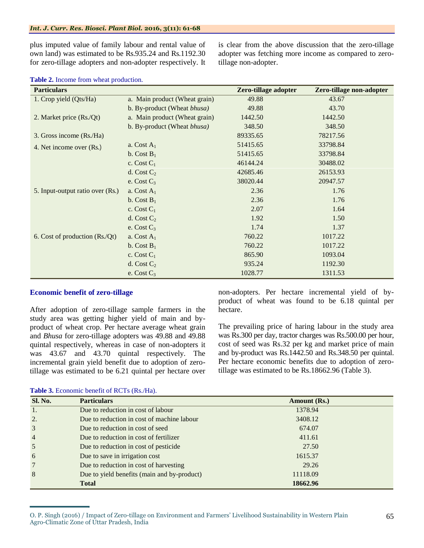plus imputed value of family labour and rental value of own land) was estimated to be Rs.935.24 and Rs.1192.30 for zero-tillage adopters and non-adopter respectively. It is clear from the above discussion that the zero-tillage adopter was fetching more income as compared to zerotillage non-adopter.

| <b>Particulars</b>               |                               | Zero-tillage adopter | Zero-tillage non-adopter |
|----------------------------------|-------------------------------|----------------------|--------------------------|
| 1. Crop yield (Qts/Ha)           | a. Main product (Wheat grain) | 49.88                | 43.67                    |
|                                  | b. By-product (Wheat bhusa)   | 49.88                | 43.70                    |
| 2. Market price (Rs./Qt)         | a. Main product (Wheat grain) | 1442.50              | 1442.50                  |
|                                  | b. By-product (Wheat bhusa)   | 348.50               | 348.50                   |
| 3. Gross income (Rs./Ha)         |                               | 89335.65             | 78217.56                 |
| 4. Net income over (Rs.)         | a. Cost $A_1$                 | 51415.65             | 33798.84                 |
|                                  | b. Cost $B_1$                 | 51415.65             | 33798.84                 |
|                                  | c. Cost $C_1$                 | 46144.24             | 30488.02                 |
|                                  | d. Cost $C_2$                 | 42685.46             | 26153.93                 |
|                                  | e. Cost $C_3$                 | 38020.44             | 20947.57                 |
| 5. Input-output ratio over (Rs.) | a. Cost $A_1$                 | 2.36                 | 1.76                     |
|                                  | b. Cost $B_1$                 | 2.36                 | 1.76                     |
|                                  | c. Cost $C_1$                 | 2.07                 | 1.64                     |
|                                  | d. Cost $C_2$                 | 1.92                 | 1.50                     |
|                                  | e. Cost $C_3$                 | 1.74                 | 1.37                     |
| 6. Cost of production (Rs./Qt)   | a. Cost $A_1$                 | 760.22               | 1017.22                  |
|                                  | b. Cost $B_1$                 | 760.22               | 1017.22                  |
|                                  | c. Cost $C_1$                 | 865.90               | 1093.04                  |
|                                  | d. Cost $C_2$                 | 935.24               | 1192.30                  |
|                                  | e. Cost $C_3$                 | 1028.77              | 1311.53                  |

# **Table 2.** Income from wheat production.

# **Economic benefit of zero-tillage**

After adoption of zero-tillage sample farmers in the study area was getting higher yield of main and byproduct of wheat crop. Per hectare average wheat grain and *Bhusa* for zero-tillage adopters was 49.88 and 49.88 quintal respectively, whereas in case of non-adopters it was 43.67 and 43.70 quintal respectively. The incremental grain yield benefit due to adoption of zerotillage was estimated to be 6.21 quintal per hectare over

non-adopters. Per hectare incremental yield of byproduct of wheat was found to be 6.18 quintal per hectare.

The prevailing price of haring labour in the study area was Rs.300 per day, tractor charges was Rs.500.00 per hour, cost of seed was Rs.32 per kg and market price of main and by-product was Rs.1442.50 and Rs.348.50 per quintal. Per hectare economic benefits due to adoption of zerotillage was estimated to be Rs.18662.96 (Table 3).

| <b>Sl. No.</b>  | <b>Particulars</b>                          | Amount (Rs.) |
|-----------------|---------------------------------------------|--------------|
| 1.              | Due to reduction in cost of labour          | 1378.94      |
| 2.              | Due to reduction in cost of machine labour  | 3408.12      |
| 3               | Due to reduction in cost of seed            | 674.07       |
| $\overline{4}$  | Due to reduction in cost of fertilizer      | 411.61       |
| 5               | Due to reduction in cost of pesticide       | 27.50        |
| 6               | Due to save in irrigation cost              | 1615.37      |
| $7\phantom{.0}$ | Due to reduction in cost of harvesting      | 29.26        |
| 8               | Due to yield benefits (main and by-product) | 11118.09     |
|                 | <b>Total</b>                                | 18662.96     |

**Table 3.** Economic benefit of RCTs (Rs./Ha).

O. P. Singh (2016) / Impact of Zero-tillage on Environment and Farmers' Livelihood Sustainability in Western Plain Agro-Climatic Zone of Uttar Pradesh, India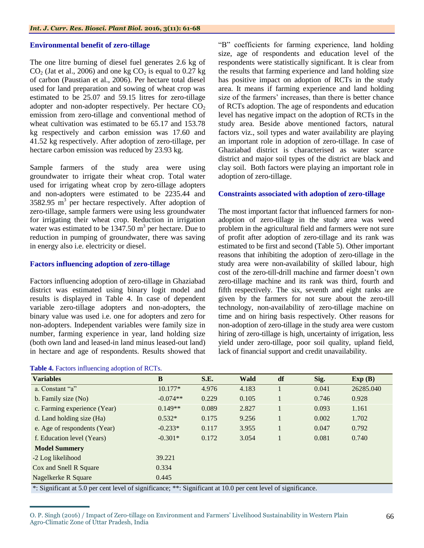# **Environmental benefit of zero-tillage**

The one litre burning of diesel fuel generates 2.6 kg of  $CO<sub>2</sub>$  (Jat et al., 2006) and one kg  $CO<sub>2</sub>$  is equal to 0.27 kg of carbon (Paustian et al., 2006). Per hectare total diesel used for land preparation and sowing of wheat crop was estimated to be 25.07 and 59.15 litres for zero-tillage adopter and non-adopter respectively. Per hectare  $CO<sub>2</sub>$ emission from zero-tillage and conventional method of wheat cultivation was estimated to be 65.17 and 153.78 kg respectively and carbon emission was 17.60 and 41.52 kg respectively. After adoption of zero-tillage, per hectare carbon emission was reduced by 23.93 kg.

Sample farmers of the study area were using groundwater to irrigate their wheat crop. Total water used for irrigating wheat crop by zero-tillage adopters and non-adopters were estimated to be 2235.44 and  $3582.95$  m<sup>3</sup> per hectare respectively. After adoption of zero-tillage, sample farmers were using less groundwater for irrigating their wheat crop. Reduction in irrigation water was estimated to be  $1347.50 \text{ m}^3$  per hectare. Due to reduction in pumping of groundwater, there was saving in energy also i.e. electricity or diesel.

# **Factors influencing adoption of zero-tillage**

Factors influencing adoption of zero-tillage in Ghaziabad district was estimated using binary logit model and results is displayed in Table 4. In case of dependent variable zero-tillage adopters and non-adopters, the binary value was used i.e. one for adopters and zero for non-adopters. Independent variables were family size in number, farming experience in year, land holding size (both own land and leased-in land minus leased-out land) in hectare and age of respondents. Results showed that

"B" coefficients for farming experience, land holding size, age of respondents and education level of the respondents were statistically significant. It is clear from the results that farming experience and land holding size has positive impact on adoption of RCTs in the study area. It means if farming experience and land holding size of the farmers' increases, than there is better chance of RCTs adoption. The age of respondents and education level has negative impact on the adoption of RCTs in the study area. Beside above mentioned factors, natural factors viz., soil types and water availability are playing an important role in adoption of zero-tillage. In case of Ghaziabad district is characterised as water scarce district and major soil types of the district are black and clay soil. Both factors were playing an important role in adoption of zero-tillage.

# **Constraints associated with adoption of zero-tillage**

The most important factor that influenced farmers for nonadoption of zero-tillage in the study area was weed problem in the agricultural field and farmers were not sure of profit after adoption of zero-tillage and its rank was estimated to be first and second (Table 5). Other important reasons that inhibiting the adoption of zero-tillage in the study area were non-availability of skilled labour, high cost of the zero-till-drill machine and farmer doesn't own zero-tillage machine and its rank was third, fourth and fifth respectively. The six, seventh and eight ranks are given by the farmers for not sure about the zero-till technology, non-availability of zero-tillage machine on time and on hiring basis respectively. Other reasons for non-adoption of zero-tillage in the study area were custom hiring of zero-tillage is high, uncertainty of irrigation, less yield under zero-tillage, poor soil quality, upland field, lack of financial support and credit unavailability.

| B          | S.E.  | Wald  | df | Sig.  | Exp(B)    |
|------------|-------|-------|----|-------|-----------|
| $10.177*$  | 4.976 | 4.183 |    | 0.041 | 26285.040 |
| $-0.074**$ | 0.229 | 0.105 |    | 0.746 | 0.928     |
| $0.149**$  | 0.089 | 2.827 |    | 0.093 | 1.161     |
| $0.532*$   | 0.175 | 9.256 |    | 0.002 | 1.702     |
| $-0.233*$  | 0.117 | 3.955 |    | 0.047 | 0.792     |
| $-0.301*$  | 0.172 | 3.054 |    | 0.081 | 0.740     |
|            |       |       |    |       |           |
| 39.221     |       |       |    |       |           |
| 0.334      |       |       |    |       |           |
| 0.445      |       |       |    |       |           |
|            |       |       |    |       |           |

\*: Significant at 5.0 per cent level of significance; \*\*: Significant at 10.0 per cent level of significance.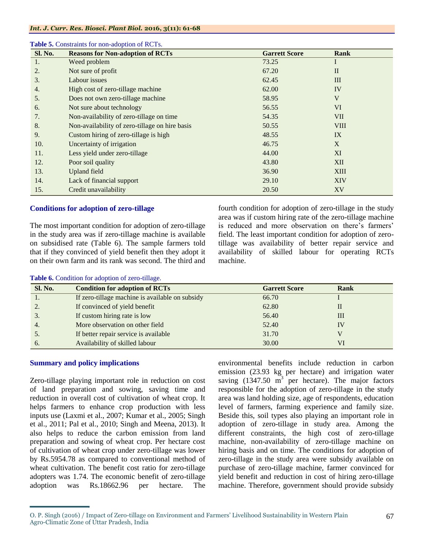| <b>Sl. No.</b> | <b>Reasons for Non-adoption of RCTs</b>        | <b>Garrett Score</b> | Rank            |
|----------------|------------------------------------------------|----------------------|-----------------|
| 1.             | Weed problem                                   | 73.25                |                 |
| 2.             | Not sure of profit                             | 67.20                | $\mathbf{I}$    |
| 3.             | Labour issues                                  | 62.45                | Ш               |
| 4.             | High cost of zero-tillage machine              | 62.00                | IV              |
| 5.             | Does not own zero-tillage machine              | 58.95                | V               |
| 6.             | Not sure about technology                      | 56.55                | VI <sup>-</sup> |
| 7.             | Non-availability of zero-tillage on time       | 54.35                | <b>VII</b>      |
| 8.             | Non-availability of zero-tillage on hire basis | 50.55                | <b>VIII</b>     |
| 9.             | Custom hiring of zero-tillage is high          | 48.55                | IX              |
| 10.            | Uncertainty of irrigation                      | 46.75                | X               |
| 11.            | Less yield under zero-tillage                  | 44.00                | XI              |
| 12.            | Poor soil quality                              | 43.80                | <b>XII</b>      |
| 13.            | <b>Upland</b> field                            | 36.90                | <b>XIII</b>     |
| 14.            | Lack of financial support                      | 29.10                | <b>XIV</b>      |
| 15.            | Credit unavailability                          | 20.50                | XV              |

#### **Table 5.** Constraints for non-adoption of RCTs.

# **Conditions for adoption of zero-tillage**

Table **6.** Condition for adoption of zero-tillage.

The most important condition for adoption of zero-tillage in the study area was if zero-tillage machine is available on subsidised rate (Table 6). The sample farmers told that if they convinced of yield benefit then they adopt it on their own farm and its rank was second. The third and fourth condition for adoption of zero-tillage in the study area was if custom hiring rate of the zero-tillage machine is reduced and more observation on there's farmers' field. The least important condition for adoption of zerotillage was availability of better repair service and availability of skilled labour for operating RCTs machine.

| <b>Sl. No.</b> | <b>Condition for adoption of RCTs</b>           | <b>Garrett Score</b> | Rank |
|----------------|-------------------------------------------------|----------------------|------|
|                | If zero-tillage machine is available on subsidy | 66.70                |      |
|                | If convinced of yield benefit                   | 62.80                | Н    |
| 3.             | If custom hiring rate is low                    | 56.40                | Ш    |
| 4.             | More observation on other field                 | 52.40                | IV   |
| D.             | If better repair service is available           | 31.70                |      |
| 6.             | Availability of skilled labour                  | 30.00                | VI   |

# **Summary and policy implications**

Zero-tillage playing important role in reduction on cost of land preparation and sowing, saving time and reduction in overall cost of cultivation of wheat crop. It helps farmers to enhance crop production with less inputs use (Laxmi et al., 2007; Kumar et al., 2005; Singh et al., 2011; Pal et al., 2010; Singh and Meena, 2013). It also helps to reduce the carbon emission from land preparation and sowing of wheat crop. Per hectare cost of cultivation of wheat crop under zero-tillage was lower by Rs.5954.78 as compared to conventional method of wheat cultivation. The benefit cost ratio for zero-tillage adopters was 1.74. The economic benefit of zero-tillage adoption was Rs.18662.96 per hectare. The environmental benefits include reduction in carbon emission (23.93 kg per hectare) and irrigation water saving  $(1347.50 \text{ m}^3)$  per hectare). The major factors responsible for the adoption of zero-tillage in the study area was land holding size, age of respondents, education level of farmers, farming experience and family size. Beside this, soil types also playing an important role in adoption of zero-tillage in study area. Among the different constraints, the high cost of zero-tillage machine, non-availability of zero-tillage machine on hiring basis and on time. The conditions for adoption of zero-tillage in the study area were subsidy available on purchase of zero-tillage machine, farmer convinced for yield benefit and reduction in cost of hiring zero-tillage machine. Therefore, government should provide subsidy